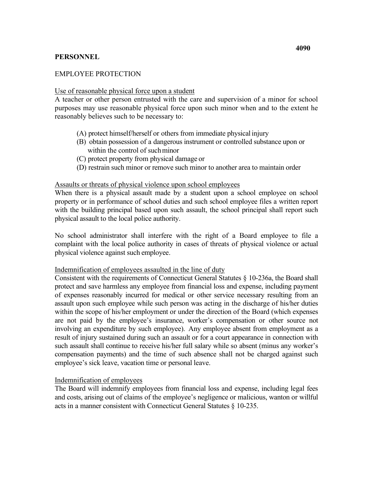# **PERSONNEL**

## EMPLOYEE PROTECTION

#### Use of reasonable physical force upon a student

A teacher or other person entrusted with the care and supervision of a minor for school purposes may use reasonable physical force upon such minor when and to the extent he reasonably believes such to be necessary to:

- (A) protect himself/herself or others from immediate physical injury
- within the control of such minor (B) obtain possession of a dangerous instrument or controlled substance upon or
- (C) protect property from physical damage or
- (D) restrain such minor or remove such minor to another area to maintain order

#### Assaults or threats of physical violence upon school employees

When there is a physical assault made by a student upon a school employee on school property or in performance of school duties and such school employee files a written report with the building principal based upon such assault, the school principal shall report such physical assault to the local police authority.

 complaint with the local police authority in cases of threats of physical violence or actual physical violence against such employee. No school administrator shall interfere with the right of a Board employee to file a

## Indemnification of employees assaulted in the line of duty

 are not paid by the employee's insurance, worker's compensation or other source not Consistent with the requirements of Connecticut General Statutes § 10-236a, the Board shall protect and save harmless any employee from financial loss and expense, including payment of expenses reasonably incurred for medical or other service necessary resulting from an assault upon such employee while such person was acting in the discharge of his/her duties within the scope of his/her employment or under the direction of the Board (which expenses involving an expenditure by such employee). Any employee absent from employment as a result of injury sustained during such an assault or for a court appearance in connection with such assault shall continue to receive his/her full salary while so absent (minus any worker's compensation payments) and the time of such absence shall not be charged against such employee's sick leave, vacation time or personal leave.

### Indemnification of employees

 acts in a manner consistent with Connecticut General Statutes § 10-235. The Board will indemnify employees from financial loss and expense, including legal fees and costs, arising out of claims of the employee's negligence or malicious, wanton or willful